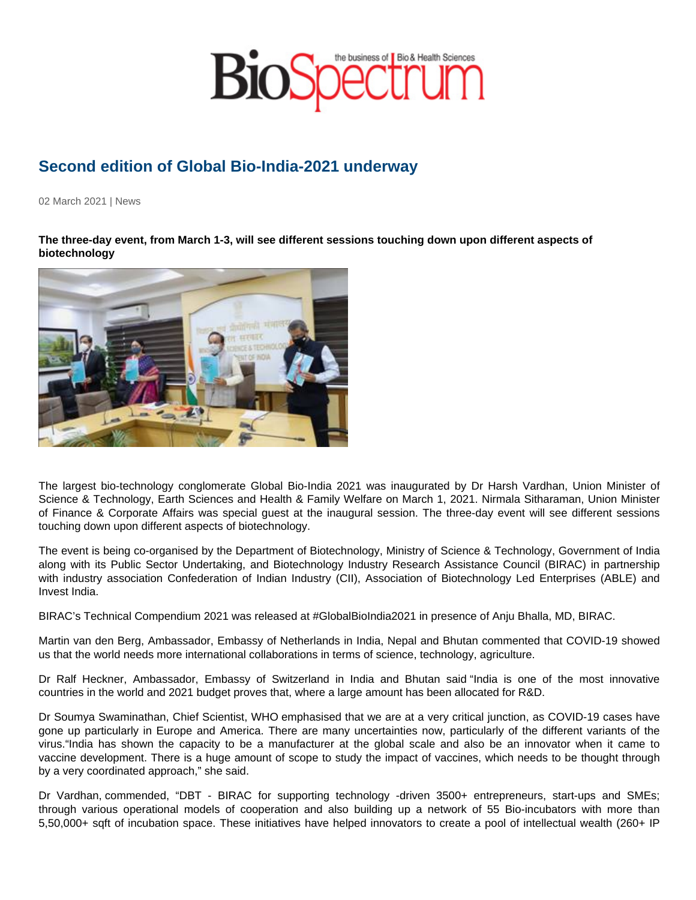## Second edition of Global Bio-India-2021 underway

02 March 2021 | News

The three-day event, from March 1-3, will see different sessions touching down upon different aspects of biotechnology

The largest bio-technology conglomerate Global Bio-India 2021 was inaugurated by Dr Harsh Vardhan, Union Minister of Science & Technology, Earth Sciences and Health & Family Welfare on March 1, 2021. Nirmala Sitharaman, Union Minister of Finance & Corporate Affairs was special guest at the inaugural session. The three-day event will see different sessions touching down upon different aspects of biotechnology.

The event is being co-organised by the Department of Biotechnology, Ministry of Science & Technology, Government of India along with its Public Sector Undertaking, and Biotechnology Industry Research Assistance Council (BIRAC) in partnership with industry association Confederation of Indian Industry (CII), Association of Biotechnology Led Enterprises (ABLE) and Invest India.

BIRAC's Technical Compendium 2021 was released at #GlobalBioIndia2021 in presence of Anju Bhalla, MD, BIRAC.

Martin van den Berg, Ambassador, Embassy of Netherlands in India, Nepal and Bhutan commented that COVID-19 showed us that the world needs more international collaborations in terms of science, technology, agriculture.

Dr Ralf Heckner, Ambassador, Embassy of Switzerland in India and Bhutan said "India is one of the most innovative countries in the world and 2021 budget proves that, where a large amount has been allocated for R&D.

Dr Soumya Swaminathan, Chief Scientist, WHO emphasised that we are at a very critical junction, as COVID-19 cases have gone up particularly in Europe and America. There are many uncertainties now, particularly of the different variants of the virus."India has shown the capacity to be a manufacturer at the global scale and also be an innovator when it came to vaccine development. There is a huge amount of scope to study the impact of vaccines, which needs to be thought through by a very coordinated approach," she said.

Dr Vardhan, commended, "DBT - BIRAC for supporting technology -driven 3500+ entrepreneurs, start-ups and SMEs; through various operational models of cooperation and also building up a network of 55 Bio-incubators with more than 5,50,000+ sqft of incubation space. These initiatives have helped innovators to create a pool of intellectual wealth (260+ IP